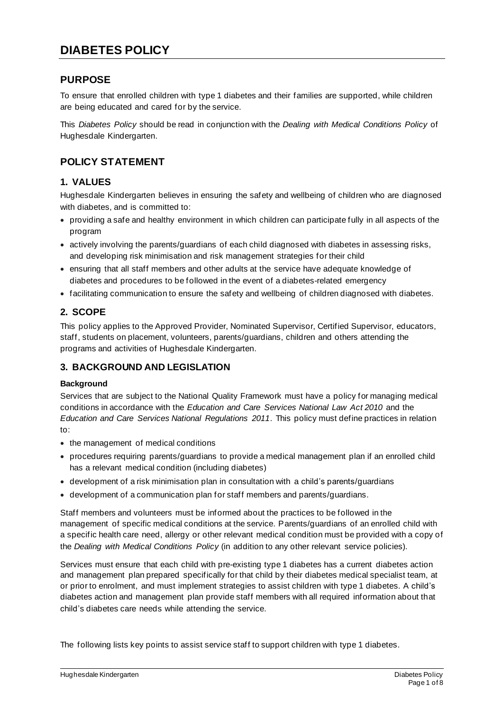## **PURPOSE**

To ensure that enrolled children with type 1 diabetes and their families are supported, while children are being educated and cared for by the service.

This *Diabetes Policy* should be read in conjunction with the *Dealing with Medical Conditions Policy* of Hughesdale Kindergarten.

## **POLICY STATEMENT**

## **1. VALUES**

Hughesdale Kindergarten believes in ensuring the safety and wellbeing of children who are diagnosed with diabetes, and is committed to:

- providing a safe and healthy environment in which children can participate fully in all aspects of the program
- actively involving the parents/guardians of each child diagnosed with diabetes in assessing risks, and developing risk minimisation and risk management strategies for their child
- ensuring that all staff members and other adults at the service have adequate knowledge of diabetes and procedures to be followed in the event of a diabetes-related emergency
- facilitating communication to ensure the safety and wellbeing of children diagnosed with diabetes.

## **2. SCOPE**

This policy applies to the Approved Provider, Nominated Supervisor, Certified Supervisor, educators, staff, students on placement, volunteers, parents/guardians, children and others attending the programs and activities of Hughesdale Kindergarten.

#### **3. BACKGROUND AND LEGISLATION**

#### **Background**

Services that are subject to the National Quality Framework must have a policy for managing medical conditions in accordance with the *Education and Care Services National Law Act 2010* and the *Education and Care Services National Regulations 2011*. This policy must define practices in relation to:

- the management of medical conditions
- procedures requiring parents/guardians to provide a medical management plan if an enrolled child has a relevant medical condition (including diabetes)
- development of a risk minimisation plan in consultation with a child's parents/guardians
- development of a communication plan for staff members and parents/guardians.

Staff members and volunteers must be informed about the practices to be followed in the management of specific medical conditions at the service. Parents/guardians of an enrolled child with a specific health care need, allergy or other relevant medical condition must be provided with a copy of the *Dealing with Medical Conditions Policy* (in addition to any other relevant service policies).

Services must ensure that each child with pre-existing type 1 diabetes has a current diabetes action and management plan prepared specifically for that child by their diabetes medical specialist team, at or prior to enrolment, and must implement strategies to assist children with type 1 diabetes. A child's diabetes action and management plan provide staff members with all required information about that child's diabetes care needs while attending the service.

The following lists key points to assist service staff to support children with type 1 diabetes.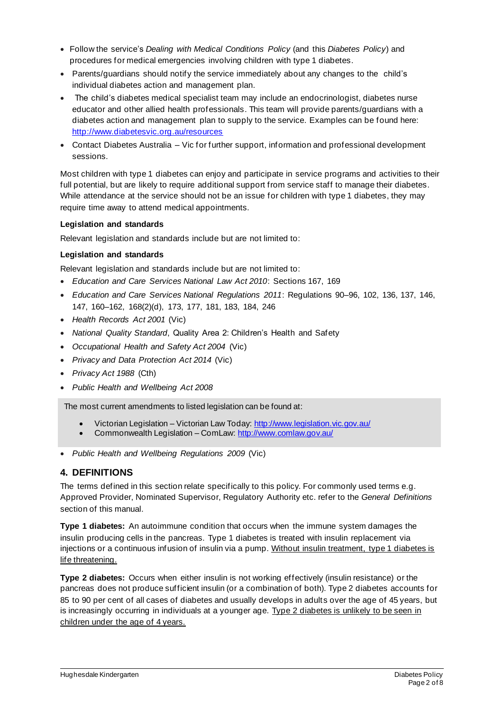- Follow the service's *Dealing with Medical Conditions Policy* (and this *Diabetes Policy*) and procedures for medical emergencies involving children with type 1 diabetes.
- Parents/guardians should notify the service immediately about any changes to the child's individual diabetes action and management plan.
- The child's diabetes medical specialist team may include an endocrinologist, diabetes nurse educator and other allied health professionals. This team will provide parents/guardians with a diabetes action and management plan to supply to the service. Examples can be found here: http://www.diabetesvic.org.au/resources
- Contact Diabetes Australia Vic for further support, information and professional development sessions.

Most children with type 1 diabetes can enjoy and participate in service programs and activities to their full potential, but are likely to require additional support from service staff to manage their diabetes. While attendance at the service should not be an issue for children with type 1 diabetes, they may require time away to attend medical appointments.

#### **Legislation and standards**

Relevant legislation and standards include but are not limited to:

#### **Legislation and standards**

Relevant legislation and standards include but are not limited to:

- *Education and Care Services National Law Act 2010*: Sections 167, 169
- *Education and Care Services National Regulations 2011*: Regulations 90–96, 102, 136, 137, 146, 147, 160–162, 168(2)(d), 173, 177, 181, 183, 184, 246
- *Health Records Act 2001* (Vic)
- *National Quality Standard*, Quality Area 2: Children's Health and Safety
- *Occupational Health and Safety Act 2004* (Vic)
- *Privacy and Data Protection Act 2014* (Vic)
- *Privacy Act 1988* (Cth)
- *Public Health and Wellbeing Act 2008*

The most current amendments to listed legislation can be found at:

- Victorian Legislation Victorian Law Today: http://www.legislation.vic.gov.au/
- Commonwealth Legislation ComLaw: http://www.comlaw.gov.au/
- *Public Health and Wellbeing Regulations 2009* (Vic)

## **4. DEFINITIONS**

The terms defined in this section relate specifically to this policy. For commonly used terms e.g. Approved Provider, Nominated Supervisor, Regulatory Authority etc. refer to the *General Definitions* section of this manual.

**Type 1 diabetes:** An autoimmune condition that occurs when the immune system damages the insulin producing cells in the pancreas. Type 1 diabetes is treated with insulin replacement via injections or a continuous infusion of insulin via a pump. Without insulin treatment, type 1 diabetes is life threatening.

**Type 2 diabetes:** Occurs when either insulin is not working effectively (insulin resistance) or the pancreas does not produce sufficient insulin (or a combination of both). Type 2 diabetes accounts for 85 to 90 per cent of all cases of diabetes and usually develops in adults over the age of 45 years, but is increasingly occurring in individuals at a younger age. Type 2 diabetes is unlikely to be seen in children under the age of 4 years.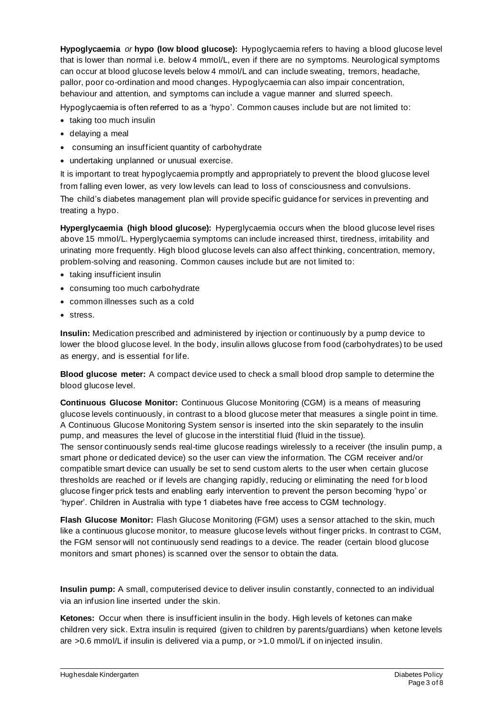**Hypoglycaemia** *or* **hypo (low blood glucose):** Hypoglycaemia refers to having a blood glucose level that is lower than normal i.e. below 4 mmol/L, even if there are no symptoms. Neurological symptoms can occur at blood glucose levels below 4 mmol/L and can include sweating, tremors, headache, pallor, poor co-ordination and mood changes. Hypoglycaemia can also impair concentration, behaviour and attention, and symptoms can include a vague manner and slurred speech.

Hypoglycaemia is often referred to as a 'hypo'. Common causes include but are not limited to:

- taking too much insulin
- delaying a meal
- consuming an insufficient quantity of carbohydrate
- undertaking unplanned or unusual exercise.

It is important to treat hypoglycaemia promptly and appropriately to prevent the blood glucose level from falling even lower, as very low levels can lead to loss of consciousness and convulsions. The child's diabetes management plan will provide specific guidance for services in preventing and treating a hypo.

**Hyperglycaemia (high blood glucose):** Hyperglycaemia occurs when the blood glucose level rises above 15 mmol/L. Hyperglycaemia symptoms can include increased thirst, tiredness, irritability and urinating more frequently. High blood glucose levels can also affect thinking, concentration, memory, problem-solving and reasoning. Common causes include but are not limited to:

- taking insufficient insulin
- consuming too much carbohydrate
- common illnesses such as a cold
- stress.

**Insulin:** Medication prescribed and administered by injection or continuously by a pump device to lower the blood glucose level. In the body, insulin allows glucose from food (carbohydrates) to be used as energy, and is essential for life.

**Blood glucose meter:** A compact device used to check a small blood drop sample to determine the blood glucose level.

**Continuous Glucose Monitor:** Continuous Glucose Monitoring (CGM) is a means of measuring glucose levels continuously, in contrast to a blood glucose meter that measures a single point in time. A Continuous Glucose Monitoring System sensor is inserted into the skin separately to the insulin pump, and measures the level of glucose in the interstitial fluid (fluid in the tissue). The sensor continuously sends real-time glucose readings wirelessly to a receiver (the insulin pump, a smart phone or dedicated device) so the user can view the information. The CGM receiver and/or compatible smart device can usually be set to send custom alerts to the user when certain glucose

thresholds are reached or if levels are changing rapidly, reducing or eliminating the need for b lood glucose finger prick tests and enabling early intervention to prevent the person becoming 'hypo' or 'hyper'. Children in Australia with type 1 diabetes have free access to CGM technology.

**Flash Glucose Monitor:** Flash Glucose Monitoring (FGM) uses a sensor attached to the skin, much like a continuous glucose monitor, to measure glucose levels without finger pricks. In contrast to CGM, the FGM sensor will not continuously send readings to a device. The reader (certain blood glucose monitors and smart phones) is scanned over the sensor to obtain the data.

**Insulin pump:** A small, computerised device to deliver insulin constantly, connected to an individual via an infusion line inserted under the skin.

**Ketones:** Occur when there is insufficient insulin in the body. High levels of ketones can make children very sick. Extra insulin is required (given to children by parents/guardians) when ketone levels are >0.6 mmol/L if insulin is delivered via a pump, or >1.0 mmol/L if on injected insulin.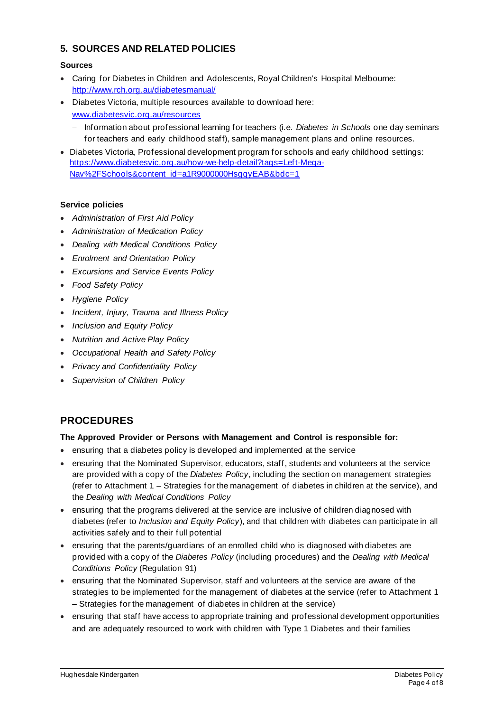## **5. SOURCES AND RELATED POLICIES**

#### **Sources**

- Caring for Diabetes in Children and Adolescents, Royal Children's Hospital Melbourne: http://www.rch.org.au/diabetesmanual/
- Diabetes Victoria, multiple resources available to download here: www.diabetesvic.org.au/resources
	- − Information about professional learning for teachers (i.e. *Diabetes in Schools* one day seminars for teachers and early childhood staff), sample management plans and online resources.
- Diabetes Victoria, Professional development program for schools and early childhood settings: https://www.diabetesvic.org.au/how-we-help-detail?tags=Left-Mega-Nav%2FSchools&content\_id=a1R9000000HsgqyEAB&bdc=1

#### **Service policies**

- *Administration of First Aid Policy*
- *Administration of Medication Policy*
- *Dealing with Medical Conditions Policy*
- *Enrolment and Orientation Policy*
- *Excursions and Service Events Policy*
- *Food Safety Policy*
- *Hygiene Policy*
- *Incident, Injury, Trauma and Illness Policy*
- *Inclusion and Equity Policy*
- *Nutrition and Active Play Policy*
- *Occupational Health and Safety Policy*
- *Privacy and Confidentiality Policy*
- *Supervision of Children Policy*

# **PROCEDURES**

#### **The Approved Provider or Persons with Management and Control is responsible for:**

- ensuring that a diabetes policy is developed and implemented at the service
- ensuring that the Nominated Supervisor, educators, staff, students and volunteers at the service are provided with a copy of the *Diabetes Policy*, including the section on management strategies (refer to Attachment 1 – Strategies for the management of diabetes in children at the service), and the *Dealing with Medical Conditions Policy*
- ensuring that the programs delivered at the service are inclusive of children diagnosed with diabetes (refer to *Inclusion and Equity Policy*), and that children with diabetes can participate in all activities safely and to their full potential
- ensuring that the parents/guardians of an enrolled child who is diagnosed with diabetes are provided with a copy of the *Diabetes Policy* (including procedures) and the *Dealing with Medical Conditions Policy* (Regulation 91)
- ensuring that the Nominated Supervisor, staff and volunteers at the service are aware of the strategies to be implemented for the management of diabetes at the service (refer to Attachment 1 – Strategies for the management of diabetes in children at the service)
- ensuring that staff have access to appropriate training and professional development opportunities and are adequately resourced to work with children with Type 1 Diabetes and their families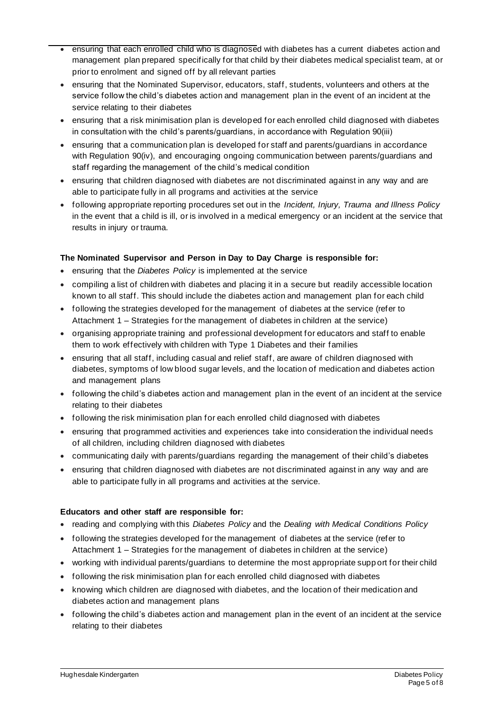- ensuring that each enrolled child who is diagnosed with diabetes has a current diabetes action and management plan prepared specifically for that child by their diabetes medical specialist team, at or prior to enrolment and signed off by all relevant parties
- ensuring that the Nominated Supervisor, educators, staff, students, volunteers and others at the service follow the child's diabetes action and management plan in the event of an incident at the service relating to their diabetes
- ensuring that a risk minimisation plan is developed for each enrolled child diagnosed with diabetes in consultation with the child's parents/guardians, in accordance with Regulation 90(iii)
- ensuring that a communication plan is developed for staff and parents/guardians in accordance with Regulation 90(iv), and encouraging ongoing communication between parents/guardians and staff regarding the management of the child's medical condition
- ensuring that children diagnosed with diabetes are not discriminated against in any way and are able to participate fully in all programs and activities at the service
- following appropriate reporting procedures set out in the *Incident, Injury, Trauma and Illness Policy* in the event that a child is ill, or is involved in a medical emergency or an incident at the service that results in injury or trauma.

#### **The Nominated Supervisor and Person in Day to Day Charge is responsible for:**

- ensuring that the *Diabetes Policy* is implemented at the service
- compiling a list of children with diabetes and placing it in a secure but readily accessible location known to all staff. This should include the diabetes action and management plan for each child
- following the strategies developed for the management of diabetes at the service (refer to Attachment 1 – Strategies for the management of diabetes in children at the service)
- organising appropriate training and professional development for educators and staff to enable them to work effectively with children with Type 1 Diabetes and their families
- ensuring that all staff, including casual and relief staff, are aware of children diagnosed with diabetes, symptoms of low blood sugar levels, and the location of medication and diabetes action and management plans
- following the child's diabetes action and management plan in the event of an incident at the service relating to their diabetes
- following the risk minimisation plan for each enrolled child diagnosed with diabetes
- ensuring that programmed activities and experiences take into consideration the individual needs of all children, including children diagnosed with diabetes
- communicating daily with parents/guardians regarding the management of their child's diabetes
- ensuring that children diagnosed with diabetes are not discriminated against in any way and are able to participate fully in all programs and activities at the service.

#### **Educators and other staff are responsible for:**

- reading and complying with this *Diabetes Policy* and the *Dealing with Medical Conditions Policy*
- following the strategies developed for the management of diabetes at the service (refer to Attachment 1 – Strategies for the management of diabetes in children at the service)
- working with individual parents/guardians to determine the most appropriate supp ort for their child
- following the risk minimisation plan for each enrolled child diagnosed with diabetes
- knowing which children are diagnosed with diabetes, and the location of their medication and diabetes action and management plans
- following the child's diabetes action and management plan in the event of an incident at the service relating to their diabetes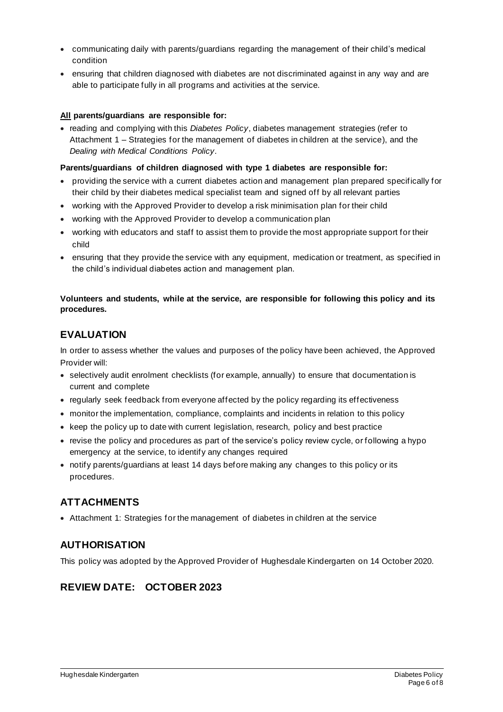- communicating daily with parents/guardians regarding the management of their child's medical condition
- ensuring that children diagnosed with diabetes are not discriminated against in any way and are able to participate fully in all programs and activities at the service.

#### **All parents/guardians are responsible for:**

• reading and complying with this *Diabetes Policy*, diabetes management strategies (refer to Attachment 1 – Strategies for the management of diabetes in children at the service), and the *Dealing with Medical Conditions Policy.*

#### **Parents/guardians of children diagnosed with type 1 diabetes are responsible for:**

- providing the service with a current diabetes action and management plan prepared specifically for their child by their diabetes medical specialist team and signed off by all relevant parties
- working with the Approved Provider to develop a risk minimisation plan for their child
- working with the Approved Provider to develop a communication plan
- working with educators and staff to assist them to provide the most appropriate support for their child
- ensuring that they provide the service with any equipment, medication or treatment, as specified in the child's individual diabetes action and management plan.

#### **Volunteers and students, while at the service, are responsible for following this policy and its procedures.**

## **EVALUATION**

In order to assess whether the values and purposes of the policy have been achieved, the Approved Provider will:

- selectively audit enrolment checklists (for example, annually) to ensure that documentation is current and complete
- regularly seek feedback from everyone affected by the policy regarding its effectiveness
- monitor the implementation, compliance, complaints and incidents in relation to this policy
- keep the policy up to date with current legislation, research, policy and best practice
- revise the policy and procedures as part of the service's policy review cycle, or following a hypo emergency at the service, to identify any changes required
- notify parents/guardians at least 14 days before making any changes to this policy or its procedures.

## **ATTACHMENTS**

• Attachment 1: Strategies for the management of diabetes in children at the service

## **AUTHORISATION**

This policy was adopted by the Approved Provider of Hughesdale Kindergarten on 14 October 2020.

# **REVIEW DATE: OCTOBER 2023**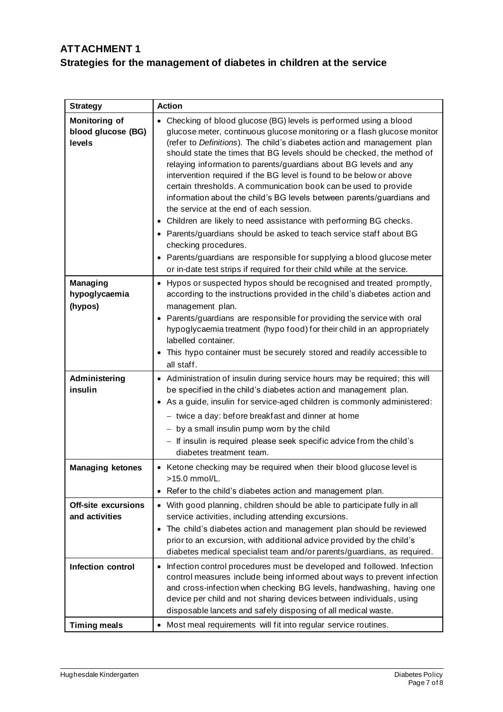# **ATTACHMENT 1 Strategies for the management of diabetes in children at the service**

| <b>Strategy</b>                                      | <b>Action</b>                                                                                                                                                                                                                                                                                                                                                                                                                                                                                                                                                                                                                                                                                                                                                                                                                                                                                                                                                                            |
|------------------------------------------------------|------------------------------------------------------------------------------------------------------------------------------------------------------------------------------------------------------------------------------------------------------------------------------------------------------------------------------------------------------------------------------------------------------------------------------------------------------------------------------------------------------------------------------------------------------------------------------------------------------------------------------------------------------------------------------------------------------------------------------------------------------------------------------------------------------------------------------------------------------------------------------------------------------------------------------------------------------------------------------------------|
| <b>Monitoring of</b><br>blood glucose (BG)<br>levels | • Checking of blood glucose (BG) levels is performed using a blood<br>glucose meter, continuous glucose monitoring or a flash glucose monitor<br>(refer to Definitions). The child's diabetes action and management plan<br>should state the times that BG levels should be checked, the method of<br>relaying information to parents/guardians about BG levels and any<br>intervention required if the BG level is found to be below or above<br>certain thresholds. A communication book can be used to provide<br>information about the child's BG levels between parents/guardians and<br>the service at the end of each session.<br>Children are likely to need assistance with performing BG checks.<br>$\bullet$<br>• Parents/guardians should be asked to teach service staff about BG<br>checking procedures.<br>Parents/guardians are responsible for supplying a blood glucose meter<br>$\bullet$<br>or in-date test strips if required for their child while at the service. |
| <b>Managing</b><br>hypoglycaemia<br>(hypos)          | • Hypos or suspected hypos should be recognised and treated promptly,<br>according to the instructions provided in the child's diabetes action and<br>management plan.<br>Parents/guardians are responsible for providing the service with oral<br>$\bullet$<br>hypoglycaemia treatment (hypo food) for their child in an appropriately<br>labelled container.<br>This hypo container must be securely stored and readily accessible to<br>all staff.                                                                                                                                                                                                                                                                                                                                                                                                                                                                                                                                    |
| Administering<br>insulin                             | • Administration of insulin during service hours may be required; this will<br>be specified in the child's diabetes action and management plan.<br>• As a guide, insulin for service-aged children is commonly administered:<br>- twice a day: before breakfast and dinner at home<br>- by a small insulin pump worn by the child<br>- If insulin is required please seek specific advice from the child's<br>diabetes treatment team.                                                                                                                                                                                                                                                                                                                                                                                                                                                                                                                                                   |
| <b>Managing ketones</b>                              | • Ketone checking may be required when their blood glucose level is<br>>15.0 mmol/L.<br>Refer to the child's diabetes action and management plan.<br>٠                                                                                                                                                                                                                                                                                                                                                                                                                                                                                                                                                                                                                                                                                                                                                                                                                                   |
| <b>Off-site excursions</b><br>and activities         | • With good planning, children should be able to participate fully in all<br>service activities, including attending excursions.<br>The child's diabetes action and management plan should be reviewed<br>$\bullet$<br>prior to an excursion, with additional advice provided by the child's<br>diabetes medical specialist team and/or parents/guardians, as required.                                                                                                                                                                                                                                                                                                                                                                                                                                                                                                                                                                                                                  |
| Infection control                                    | Infection control procedures must be developed and followed. Infection<br>$\bullet$<br>control measures include being informed about ways to prevent infection<br>and cross-infection when checking BG levels, handwashing, having one<br>device per child and not sharing devices between individuals, using<br>disposable lancets and safely disposing of all medical waste.                                                                                                                                                                                                                                                                                                                                                                                                                                                                                                                                                                                                           |
| <b>Timing meals</b>                                  | Most meal requirements will fit into regular service routines.<br>$\bullet$                                                                                                                                                                                                                                                                                                                                                                                                                                                                                                                                                                                                                                                                                                                                                                                                                                                                                                              |